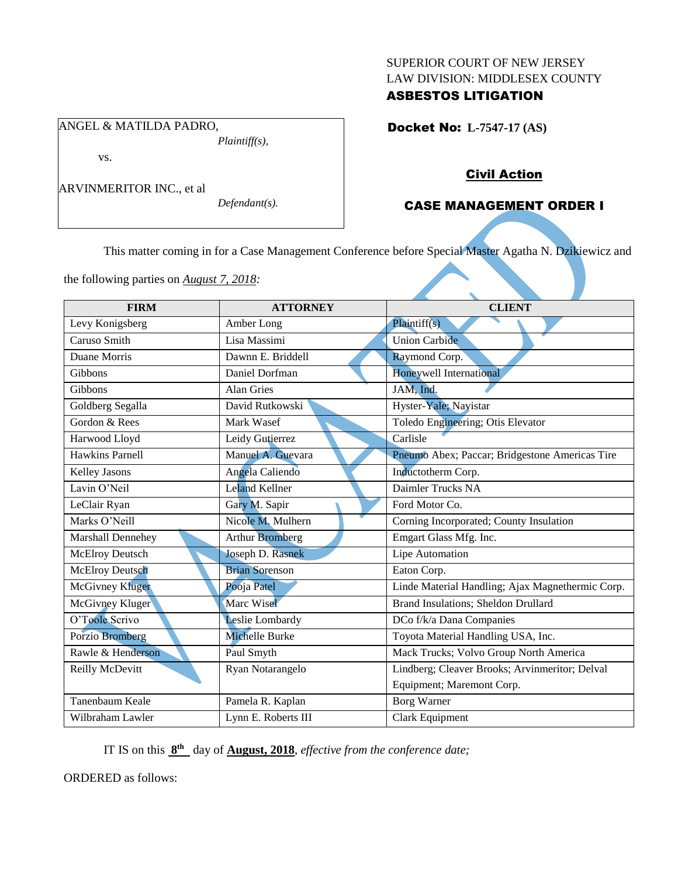### SUPERIOR COURT OF NEW JERSEY LAW DIVISION: MIDDLESEX COUNTY

# ASBESTOS LITIGATION

Docket No: **L-7547-17 (AS)** 

### *Plaintiff(s),*

vs.

ARVINMERITOR INC., et al

ANGEL & MATILDA PADRO,

*Defendant(s).*

# Civil Action

# CASE MANAGEMENT ORDER I

This matter coming in for a Case Management Conference before Special Master Agatha N. Dzikiewicz and

the following parties on *August 7, 2018:*

| <b>FIRM</b>            | <b>ATTORNEY</b>        | <b>CLIENT</b>                                    |
|------------------------|------------------------|--------------------------------------------------|
| Levy Konigsberg        | Amber Long             | Plaintiff(s)                                     |
| Caruso Smith           | Lisa Massimi           | <b>Union Carbide</b>                             |
| Duane Morris           | Dawnn E. Briddell      | Raymond Corp.                                    |
| Gibbons                | Daniel Dorfman         | Honeywell International                          |
| Gibbons                | <b>Alan Gries</b>      | JAM, Ind.                                        |
| Goldberg Segalla       | David Rutkowski        | Hyster-Yale; Navistar                            |
| Gordon & Rees          | Mark Wasef             | Toledo Engineering; Otis Elevator                |
| Harwood Lloyd          | Leidy Gutierrez        | Carlisle                                         |
| <b>Hawkins Parnell</b> | Manuel A. Guevara      | Pneumo Abex; Paccar; Bridgestone Americas Tire   |
| <b>Kelley Jasons</b>   | Angela Caliendo        | Inductotherm Corp.                               |
| Lavin O'Neil           | Leland Kellner         | Daimler Trucks NA                                |
| LeClair Ryan           | Gary M. Sapir          | Ford Motor Co.                                   |
| Marks O'Neill          | Nicole M. Mulhern      | Corning Incorporated; County Insulation          |
| Marshall Dennehey      | <b>Arthur Bromberg</b> | Emgart Glass Mfg. Inc.                           |
| <b>McElroy Deutsch</b> | Joseph D. Rasnek       | Lipe Automation                                  |
| McElroy Deutsch        | <b>Brian Sorenson</b>  | Eaton Corp.                                      |
| <b>McGivney Kluger</b> | Pooja Patel            | Linde Material Handling; Ajax Magnethermic Corp. |
| McGivney Kluger        | Marc Wisel             | Brand Insulations; Sheldon Drullard              |
| O'Toole Scrivo         | Leslie Lombardy        | DCo f/k/a Dana Companies                         |
| <b>Porzio Bromberg</b> | Michelle Burke         | Toyota Material Handling USA, Inc.               |
| Rawle & Henderson      | Paul Smyth             | Mack Trucks; Volvo Group North America           |
| Reilly McDevitt        | Ryan Notarangelo       | Lindberg; Cleaver Brooks; Arvinmeritor; Delval   |
|                        |                        | Equipment; Maremont Corp.                        |
| Tanenbaum Keale        | Pamela R. Kaplan       | Borg Warner                                      |
| Wilbraham Lawler       | Lynn E. Roberts III    | Clark Equipment                                  |

IT IS on this **8 th** day of **August, 2018**, *effective from the conference date;*

ORDERED as follows: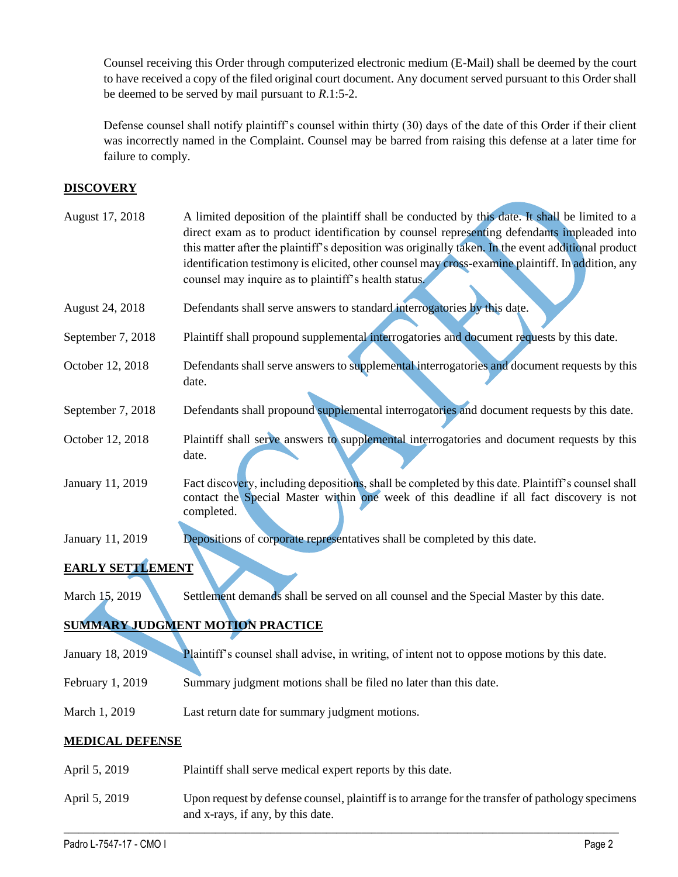Counsel receiving this Order through computerized electronic medium (E-Mail) shall be deemed by the court to have received a copy of the filed original court document. Any document served pursuant to this Order shall be deemed to be served by mail pursuant to *R*.1:5-2.

Defense counsel shall notify plaintiff's counsel within thirty (30) days of the date of this Order if their client was incorrectly named in the Complaint. Counsel may be barred from raising this defense at a later time for failure to comply.

# **DISCOVERY**

| August 17, 2018         | A limited deposition of the plaintiff shall be conducted by this date. It shall be limited to a<br>direct exam as to product identification by counsel representing defendants impleaded into<br>this matter after the plaintiff's deposition was originally taken. In the event additional product<br>identification testimony is elicited, other counsel may cross-examine plaintiff. In addition, any<br>counsel may inquire as to plaintiff's health status. |
|-------------------------|------------------------------------------------------------------------------------------------------------------------------------------------------------------------------------------------------------------------------------------------------------------------------------------------------------------------------------------------------------------------------------------------------------------------------------------------------------------|
| <b>August 24, 2018</b>  | Defendants shall serve answers to standard interrogatories by this date.                                                                                                                                                                                                                                                                                                                                                                                         |
| September 7, 2018       | Plaintiff shall propound supplemental interrogatories and document requests by this date.                                                                                                                                                                                                                                                                                                                                                                        |
| October 12, 2018        | Defendants shall serve answers to supplemental interrogatories and document requests by this<br>date.                                                                                                                                                                                                                                                                                                                                                            |
| September 7, 2018       | Defendants shall propound supplemental interrogatories and document requests by this date.                                                                                                                                                                                                                                                                                                                                                                       |
| October 12, 2018        | Plaintiff shall serve answers to supplemental interrogatories and document requests by this<br>date.                                                                                                                                                                                                                                                                                                                                                             |
| January 11, 2019        | Fact discovery, including depositions, shall be completed by this date. Plaintiff's counsel shall<br>contact the Special Master within one week of this deadline if all fact discovery is not<br>completed.                                                                                                                                                                                                                                                      |
| January 11, 2019        | Depositions of corporate representatives shall be completed by this date.                                                                                                                                                                                                                                                                                                                                                                                        |
| <b>EARLY SETTLEMENT</b> |                                                                                                                                                                                                                                                                                                                                                                                                                                                                  |
| March 15, 2019          | Settlement demands shall be served on all counsel and the Special Master by this date.                                                                                                                                                                                                                                                                                                                                                                           |
|                         | <b>SUMMARY JUDGMENT MOTION PRACTICE</b>                                                                                                                                                                                                                                                                                                                                                                                                                          |
| January 18, 2019        | Plaintiff's counsel shall advise, in writing, of intent not to oppose motions by this date.                                                                                                                                                                                                                                                                                                                                                                      |
| February 1, 2019        | Summary judgment motions shall be filed no later than this date.                                                                                                                                                                                                                                                                                                                                                                                                 |
| March 1, 2019           | Last return date for summary judgment motions.                                                                                                                                                                                                                                                                                                                                                                                                                   |
| <b>MEDICAL DEFENSE</b>  |                                                                                                                                                                                                                                                                                                                                                                                                                                                                  |
| April 5, 2019           | Plaintiff shall serve medical expert reports by this date.                                                                                                                                                                                                                                                                                                                                                                                                       |
| April 5, 2019           | Upon request by defense counsel, plaintiff is to arrange for the transfer of pathology specimens<br>and x-rays, if any, by this date.                                                                                                                                                                                                                                                                                                                            |

 $\_$  ,  $\_$  ,  $\_$  ,  $\_$  ,  $\_$  ,  $\_$  ,  $\_$  ,  $\_$  ,  $\_$  ,  $\_$  ,  $\_$  ,  $\_$  ,  $\_$  ,  $\_$  ,  $\_$  ,  $\_$  ,  $\_$  ,  $\_$  ,  $\_$  ,  $\_$  ,  $\_$  ,  $\_$  ,  $\_$  ,  $\_$  ,  $\_$  ,  $\_$  ,  $\_$  ,  $\_$  ,  $\_$  ,  $\_$  ,  $\_$  ,  $\_$  ,  $\_$  ,  $\_$  ,  $\_$  ,  $\_$  ,  $\_$  ,